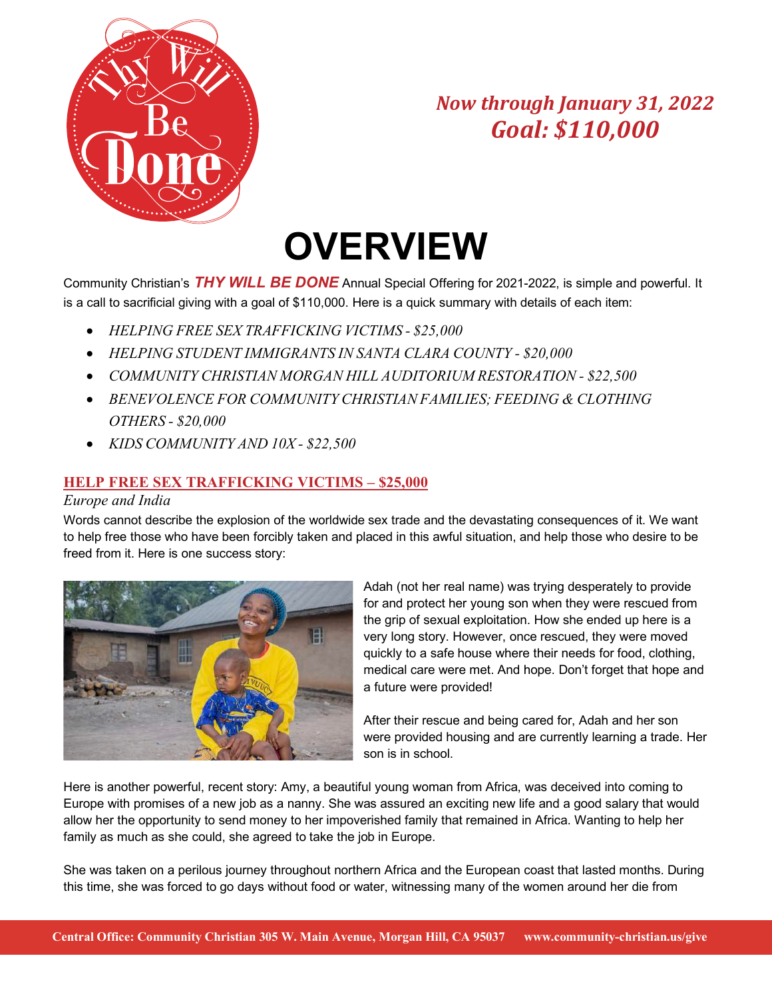

# **OVERVIEW**

Community Christian's *THY WILL BE DONE* Annual Special Offering for 2021-2022, is simple and powerful. It is a call to sacrificial giving with a goal of \$110,000. Here is a quick summary with details of each item:

- *HELPING FREE SEX TRAFFICKING VICTIMS - \$25,000*
- *HELPING STUDENT IMMIGRANTS IN SANTA CLARA COUNTY - \$20,000*
- *COMMUNITY CHRISTIAN MORGAN HILL AUDITORIUM RESTORATION - \$22,500*
- *BENEVOLENCE FOR COMMUNITY CHRISTIAN FAMILIES; FEEDING & CLOTHING OTHERS - \$20,000*
- *KIDS COMMUNITY AND 10X - \$22,500*

### **HELP FREE SEX TRAFFICKING VICTIMS – \$25,000**

#### *Europe and India*

Words cannot describe the explosion of the worldwide sex trade and the devastating consequences of it. We want to help free those who have been forcibly taken and placed in this awful situation, and help those who desire to be freed from it. Here is one success story:



Adah (not her real name) was trying desperately to provide for and protect her young son when they were rescued from the grip of sexual exploitation. How she ended up here is a very long story. However, once rescued, they were moved quickly to a safe house where their needs for food, clothing, medical care were met. And hope. Don't forget that hope and a future were provided!

After their rescue and being cared for, Adah and her son were provided housing and are currently learning a trade. Her son is in school.

Here is another powerful, recent story: Amy, a beautiful young woman from Africa, was deceived into coming to Europe with promises of a new job as a nanny. She was assured an exciting new life and a good salary that would allow her the opportunity to send money to her impoverished family that remained in Africa. Wanting to help her family as much as she could, she agreed to take the job in Europe.

She was taken on a perilous journey throughout northern Africa and the European coast that lasted months. During this time, she was forced to go days without food or water, witnessing many of the women around her die from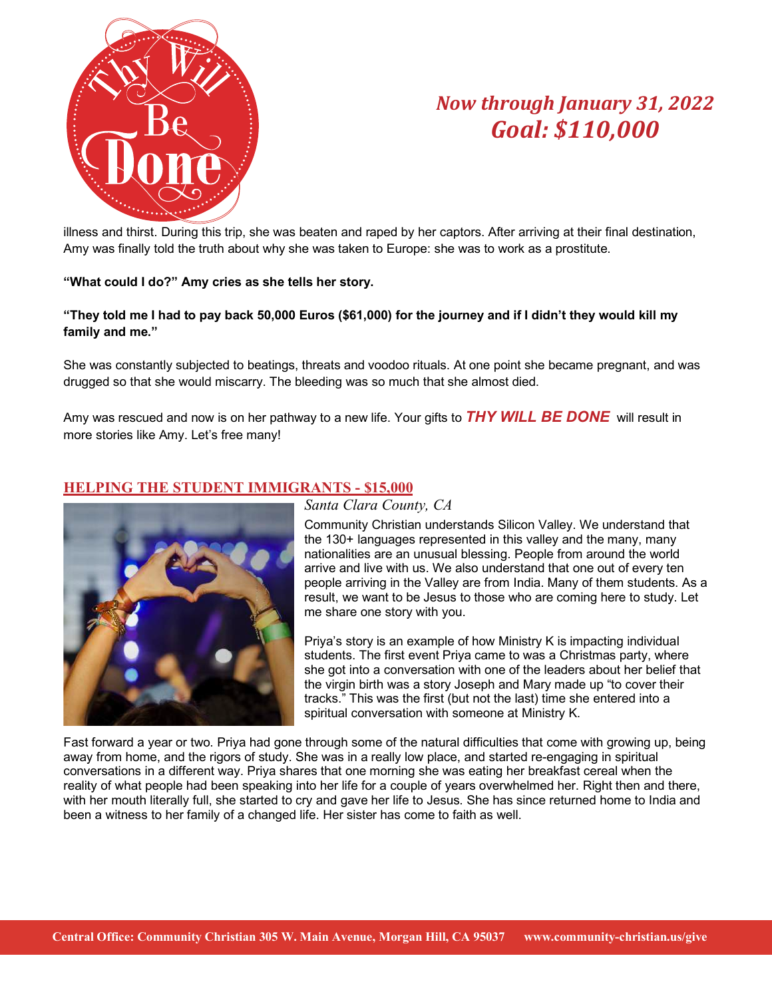

illness and thirst. During this trip, she was beaten and raped by her captors. After arriving at their final destination, Amy was finally told the truth about why she was taken to Europe: she was to work as a prostitute.

#### **"What could I do?" Amy cries as she tells her story.**

#### **"They told me I had to pay back 50,000 Euros (\$61,000) for the journey and if I didn't they would kill my family and me."**

She was constantly subjected to beatings, threats and voodoo rituals. At one point she became pregnant, and was drugged so that she would miscarry. The bleeding was so much that she almost died.

Amy was rescued and now is on her pathway to a new life. Your gifts to *THY WILL BE DONE* will result in more stories like Amy. Let's free many!

### **HELPING THE STUDENT IMMIGRANTS - \$15,000**



#### *Santa Clara County, CA*

Community Christian understands Silicon Valley. We understand that the 130+ languages represented in this valley and the many, many nationalities are an unusual blessing. People from around the world arrive and live with us. We also understand that one out of every ten people arriving in the Valley are from India. Many of them students. As a result, we want to be Jesus to those who are coming here to study. Let me share one story with you.

Priya's story is an example of how Ministry K is impacting individual students. The first event Priya came to was a Christmas party, where she got into a conversation with one of the leaders about her belief that the virgin birth was a story Joseph and Mary made up "to cover their tracks." This was the first (but not the last) time she entered into a spiritual conversation with someone at Ministry K.

Fast forward a year or two. Priya had gone through some of the natural difficulties that come with growing up, being away from home, and the rigors of study. She was in a really low place, and started re-engaging in spiritual conversations in a different way. Priya shares that one morning she was eating her breakfast cereal when the reality of what people had been speaking into her life for a couple of years overwhelmed her. Right then and there, with her mouth literally full, she started to cry and gave her life to Jesus. She has since returned home to India and been a witness to her family of a changed life. Her sister has come to faith as well.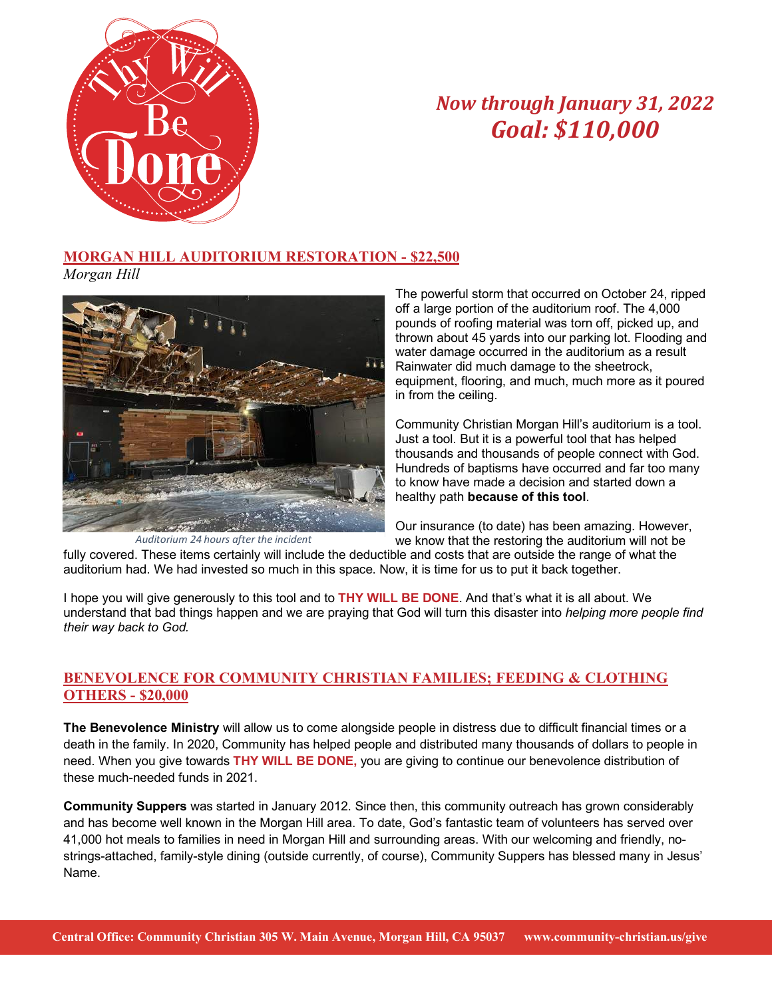

### **MORGAN HILL AUDITORIUM RESTORATION - \$22,500**

*Morgan Hill*



*Auditorium 24 hours after the incident*

The powerful storm that occurred on October 24, ripped off a large portion of the auditorium roof. The 4,000 pounds of roofing material was torn off, picked up, and thrown about 45 yards into our parking lot. Flooding and water damage occurred in the auditorium as a result Rainwater did much damage to the sheetrock, equipment, flooring, and much, much more as it poured in from the ceiling.

Community Christian Morgan Hill's auditorium is a tool. Just a tool. But it is a powerful tool that has helped thousands and thousands of people connect with God. Hundreds of baptisms have occurred and far too many to know have made a decision and started down a healthy path **because of this tool**.

Our insurance (to date) has been amazing. However, we know that the restoring the auditorium will not be

fully covered. These items certainly will include the deductible and costs that are outside the range of what the auditorium had. We had invested so much in this space. Now, it is time for us to put it back together.

I hope you will give generously to this tool and to **THY WILL BE DONE**. And that's what it is all about. We understand that bad things happen and we are praying that God will turn this disaster into *helping more people find their way back to God.* 

### **BENEVOLENCE FOR COMMUNITY CHRISTIAN FAMILIES; FEEDING & CLOTHING OTHERS - \$20,000**

**The Benevolence Ministry** will allow us to come alongside people in distress due to difficult financial times or a death in the family. In 2020, Community has helped people and distributed many thousands of dollars to people in need. When you give towards **THY WILL BE DONE,** you are giving to continue our benevolence distribution of these much-needed funds in 2021.

**Community Suppers** was started in January 2012. Since then, this community outreach has grown considerably and has become well known in the Morgan Hill area. To date, God's fantastic team of volunteers has served over 41,000 hot meals to families in need in Morgan Hill and surrounding areas. With our welcoming and friendly, nostrings-attached, family-style dining (outside currently, of course), Community Suppers has blessed many in Jesus' Name.